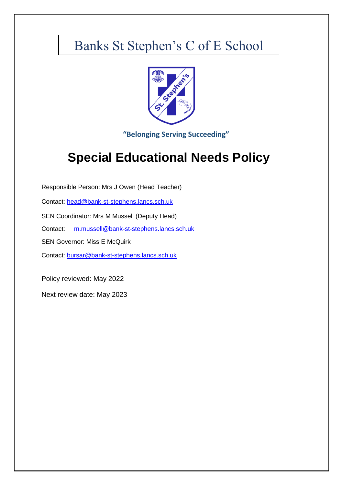# Banks St Stephen's C of E School



**"Belonging Serving Succeeding"**

# **Special Educational Needs Policy**

Responsible Person: Mrs J Owen (Head Teacher) Contact: [head@bank-st-stephens.lancs.sch.uk](mailto:head@bank-st-stephens.lancs.sch.uk) SEN Coordinator: Mrs M Mussell (Deputy Head) Contact: [m.mussell@bank-st-stephens.lancs.sch.uk](mailto:m.mussell@bank-st-stephens.lancs.sch.uk)

SEN Governor: Miss E McQuirk

Contact: [bursar@bank-st-stephens.lancs.sch.uk](mailto:bursar@bank-st-stephens.lancs.sch.uk)

Policy reviewed: May 2022

Next review date: May 2023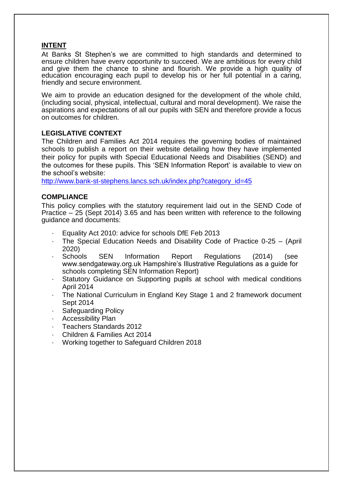# **INTENT**

At Banks St Stephen's we are committed to high standards and determined to ensure children have every opportunity to succeed. We are ambitious for every child and give them the chance to shine and flourish. We provide a high quality of education encouraging each pupil to develop his or her full potential in a caring, friendly and secure environment.

We aim to provide an education designed for the development of the whole child, (including social, physical, intellectual, cultural and moral development). We raise the aspirations and expectations of all our pupils with SEN and therefore provide a focus on outcomes for children.

# **LEGISLATIVE CONTEXT**

The Children and Families Act 2014 requires the governing bodies of maintained schools to publish a report on their website detailing how they have implemented their policy for pupils with Special Educational Needs and Disabilities (SEND) and the outcomes for these pupils. This 'SEN Information Report' is available to view on the school's website:

[http://www.bank-st-stephens.lancs.sch.uk/index.php?category\\_id=45](http://www.bank-st-stephens.lancs.sch.uk/index.php?category_id=45)

# **COMPLIANCE**

This policy complies with the statutory requirement laid out in the SEND Code of Practice – 25 (Sept 2014) 3.65 and has been written with reference to the following guidance and documents:

- Equality Act 2010: advice for schools DfE Feb 2013
- The Special Education Needs and Disability Code of Practice 0-25 (April 2020)<br>Schools
- SEN Information Report Regulations (2014) (see www.sendgateway.org.uk Hampshire's Illustrative Regulations as a guide for schools completing SEN Information Report)
- Statutory Guidance on Supporting pupils at school with medical conditions April 2014
- · The National Curriculum in England Key Stage 1 and 2 framework document Sept 2014
- Safeguarding Policy
- · Accessibility Plan
- · Teachers Standards 2012
- · Children & Families Act 2014
- · Working together to Safeguard Children 2018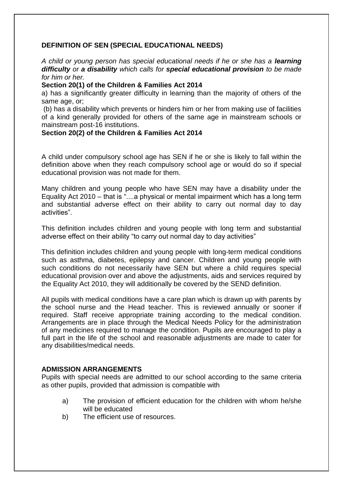# **DEFINITION OF SEN (SPECIAL EDUCATIONAL NEEDS)**

*A child or young person has special educational needs if he or she has a learning difficulty or a disability which calls for special educational provision to be made for him or her.*

### **Section 20(1) of the Children & Families Act 2014**

a) has a significantly greater difficulty in learning than the majority of others of the same age, or;

(b) has a disability which prevents or hinders him or her from making use of facilities of a kind generally provided for others of the same age in mainstream schools or mainstream post-16 institutions.

# **Section 20(2) of the Children & Families Act 2014**

A child under compulsory school age has SEN if he or she is likely to fall within the definition above when they reach compulsory school age or would do so if special educational provision was not made for them.

Many children and young people who have SEN may have a disability under the Equality Act 2010 – that is "....a physical or mental impairment which has a long term and substantial adverse effect on their ability to carry out normal day to day activities".

This definition includes children and young people with long term and substantial adverse effect on their ability "to carry out normal day to day activities"

This definition includes children and young people with long-term medical conditions such as asthma, diabetes, epilepsy and cancer. Children and young people with such conditions do not necessarily have SEN but where a child requires special educational provision over and above the adjustments, aids and services required by the Equality Act 2010, they will additionally be covered by the SEND definition.

All pupils with medical conditions have a care plan which is drawn up with parents by the school nurse and the Head teacher. This is reviewed annually or sooner if required. Staff receive appropriate training according to the medical condition. Arrangements are in place through the Medical Needs Policy for the administration of any medicines required to manage the condition. Pupils are encouraged to play a full part in the life of the school and reasonable adjustments are made to cater for any disabilities/medical needs.

# **ADMISSION ARRANGEMENTS**

Pupils with special needs are admitted to our school according to the same criteria as other pupils, provided that admission is compatible with

- a) The provision of efficient education for the children with whom he/she will be educated
- b) The efficient use of resources.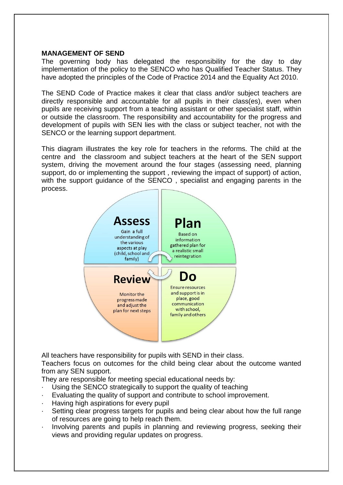### **MANAGEMENT OF SEND**

The governing body has delegated the responsibility for the day to day implementation of the policy to the SENCO who has Qualified Teacher Status. They have adopted the principles of the Code of Practice 2014 and the Equality Act 2010.

The SEND Code of Practice makes it clear that class and/or subject teachers are directly responsible and accountable for all pupils in their class(es), even when pupils are receiving support from a teaching assistant or other specialist staff, within or outside the classroom. The responsibility and accountability for the progress and development of pupils with SEN lies with the class or subject teacher, not with the SENCO or the learning support department.

This diagram illustrates the key role for teachers in the reforms. The child at the centre and the classroom and subject teachers at the heart of the SEN support system, driving the movement around the four stages (assessing need, planning support, do or implementing the support , reviewing the impact of support) of action, with the support guidance of the SENCO, specialist and engaging parents in the process.



All teachers have responsibility for pupils with SEND in their class.

Teachers focus on outcomes for the child being clear about the outcome wanted from any SEN support.

They are responsible for meeting special educational needs by:

- Using the SENCO strategically to support the quality of teaching
- Evaluating the quality of support and contribute to school improvement.
- · Having high aspirations for every pupil
- Setting clear progress targets for pupils and being clear about how the full range of resources are going to help reach them.
- Involving parents and pupils in planning and reviewing progress, seeking their views and providing regular updates on progress.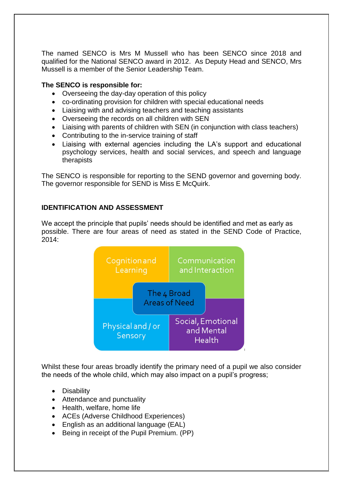The named SENCO is Mrs M Mussell who has been SENCO since 2018 and qualified for the National SENCO award in 2012. As Deputy Head and SENCO, Mrs Mussell is a member of the Senior Leadership Team.

# **The SENCO is responsible for:**

- Overseeing the day-day operation of this policy
- co-ordinating provision for children with special educational needs
- Liaising with and advising teachers and teaching assistants
- Overseeing the records on all children with SEN
- Liaising with parents of children with SEN (in conjunction with class teachers)
- Contributing to the in-service training of staff
- Liaising with external agencies including the LA's support and educational psychology services, health and social services, and speech and language therapists

The SENCO is responsible for reporting to the SEND governor and governing body. The governor responsible for SEND is Miss E McQuirk.

# **IDENTIFICATION AND ASSESSMENT**

We accept the principle that pupils' needs should be identified and met as early as possible. There are four areas of need as stated in the SEND Code of Practice, 2014:



Whilst these four areas broadly identify the primary need of a pupil we also consider the needs of the whole child, which may also impact on a pupil's progress;

- Disability
- Attendance and punctuality
- Health, welfare, home life
- ACEs (Adverse Childhood Experiences)
- English as an additional language (EAL)
- Being in receipt of the Pupil Premium. (PP)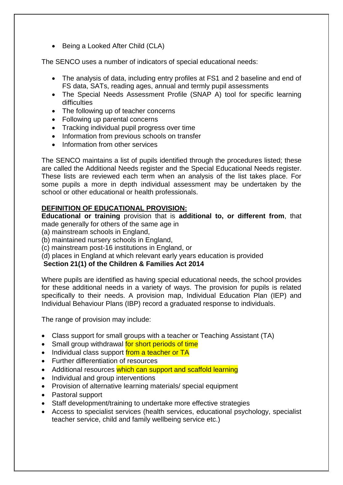• Being a Looked After Child (CLA)

The SENCO uses a number of indicators of special educational needs:

- The analysis of data, including entry profiles at FS1 and 2 baseline and end of FS data, SATs, reading ages, annual and termly pupil assessments
- The Special Needs Assessment Profile (SNAP A) tool for specific learning difficulties
- The following up of teacher concerns
- Following up parental concerns
- Tracking individual pupil progress over time
- Information from previous schools on transfer
- Information from other services

The SENCO maintains a list of pupils identified through the procedures listed; these are called the Additional Needs register and the Special Educational Needs register. These lists are reviewed each term when an analysis of the list takes place. For some pupils a more in depth individual assessment may be undertaken by the school or other educational or health professionals.

# **DEFINITION OF EDUCATIONAL PROVISION:**

**Educational or training** provision that is **additional to, or different from**, that made generally for others of the same age in

- (a) mainstream schools in England,
- (b) maintained nursery schools in England,
- (c) mainstream post-16 institutions in England, or
- (d) places in England at which relevant early years education is provided

# **Section 21(1) of the Children & Families Act 2014**

Where pupils are identified as having special educational needs, the school provides for these additional needs in a variety of ways. The provision for pupils is related specifically to their needs. A provision map, Individual Education Plan (IEP) and Individual Behaviour Plans (IBP) record a graduated response to individuals.

The range of provision may include:

- Class support for small groups with a teacher or Teaching Assistant (TA)
- Small group withdrawal for short periods of time
- Individual class support from a teacher or TA
- Further differentiation of resources
- Additional resources which can support and scaffold learning
- Individual and group interventions
- Provision of alternative learning materials/ special equipment
- Pastoral support
- Staff development/training to undertake more effective strategies
- Access to specialist services (health services, educational psychology, specialist teacher service, child and family wellbeing service etc.)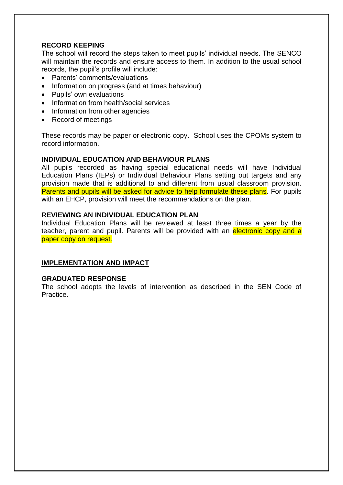# **RECORD KEEPING**

The school will record the steps taken to meet pupils' individual needs. The SENCO will maintain the records and ensure access to them. In addition to the usual school records, the pupil's profile will include:

- Parents' comments/evaluations
- Information on progress (and at times behaviour)
- Pupils' own evaluations
- Information from health/social services
- Information from other agencies
- Record of meetings

These records may be paper or electronic copy. School uses the CPOMs system to record information.

### **INDIVIDUAL EDUCATION AND BEHAVIOUR PLANS**

All pupils recorded as having special educational needs will have Individual Education Plans (IEPs) or Individual Behaviour Plans setting out targets and any provision made that is additional to and different from usual classroom provision. Parents and pupils will be asked for advice to help formulate these plans. For pupils with an EHCP, provision will meet the recommendations on the plan.

### **REVIEWING AN INDIVIDUAL EDUCATION PLAN**

Individual Education Plans will be reviewed at least three times a year by the teacher, parent and pupil. Parents will be provided with an electronic copy and a paper copy on request.

# **IMPLEMENTATION AND IMPACT**

#### **GRADUATED RESPONSE**

The school adopts the levels of intervention as described in the SEN Code of Practice.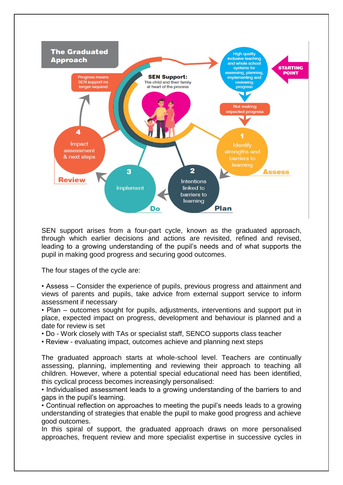

SEN support arises from a four-part cycle, known as the graduated approach, through which earlier decisions and actions are revisited, refined and revised, leading to a growing understanding of the pupil's needs and of what supports the pupil in making good progress and securing good outcomes.

The four stages of the cycle are:

• Assess – Consider the experience of pupils, previous progress and attainment and views of parents and pupils, take advice from external support service to inform assessment if necessary

• Plan – outcomes sought for pupils, adjustments, interventions and support put in place, expected impact on progress, development and behaviour is planned and a date for review is set

• Do - Work closely with TAs or specialist staff, SENCO supports class teacher

• Review - evaluating impact, outcomes achieve and planning next steps

The graduated approach starts at whole-school level. Teachers are continually assessing, planning, implementing and reviewing their approach to teaching all children. However, where a potential special educational need has been identified, this cyclical process becomes increasingly personalised:

• Individualised assessment leads to a growing understanding of the barriers to and gaps in the pupil's learning.

• Continual reflection on approaches to meeting the pupil's needs leads to a growing understanding of strategies that enable the pupil to make good progress and achieve good outcomes.

In this spiral of support, the graduated approach draws on more personalised approaches, frequent review and more specialist expertise in successive cycles in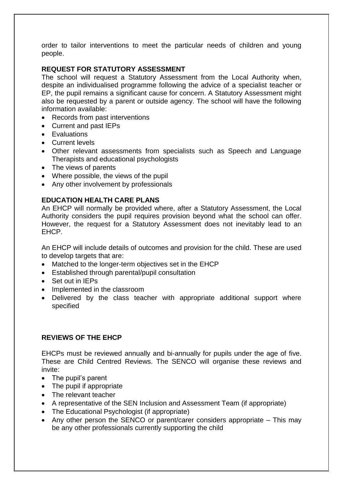order to tailor interventions to meet the particular needs of children and young people.

# **REQUEST FOR STATUTORY ASSESSMENT**

The school will request a Statutory Assessment from the Local Authority when, despite an individualised programme following the advice of a specialist teacher or EP, the pupil remains a significant cause for concern. A Statutory Assessment might also be requested by a parent or outside agency. The school will have the following information available:

- Records from past interventions
- Current and past IEPs
- Evaluations
- Current levels
- Other relevant assessments from specialists such as Speech and Language Therapists and educational psychologists
- The views of parents
- Where possible, the views of the pupil
- Any other involvement by professionals

# **EDUCATION HEALTH CARE PLANS**

An EHCP will normally be provided where, after a Statutory Assessment, the Local Authority considers the pupil requires provision beyond what the school can offer. However, the request for a Statutory Assessment does not inevitably lead to an EHCP.

An EHCP will include details of outcomes and provision for the child. These are used to develop targets that are:

- Matched to the longer-term objectives set in the EHCP
- Established through parental/pupil consultation
- Set out in IEPs
- Implemented in the classroom
- Delivered by the class teacher with appropriate additional support where specified

# **REVIEWS OF THE EHCP**

EHCPs must be reviewed annually and bi-annually for pupils under the age of five. These are Child Centred Reviews. The SENCO will organise these reviews and invite:

- The pupil's parent
- The pupil if appropriate
- The relevant teacher
- A representative of the SEN Inclusion and Assessment Team (if appropriate)
- The Educational Psychologist (if appropriate)
- Any other person the SENCO or parent/carer considers appropriate This may be any other professionals currently supporting the child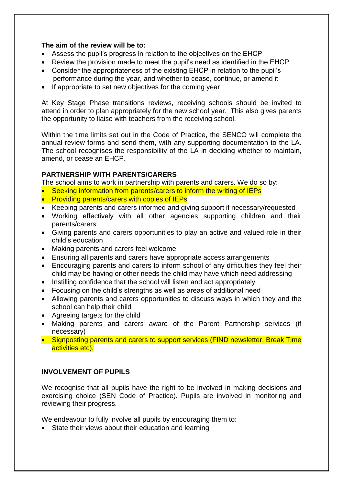# **The aim of the review will be to:**

- Assess the pupil's progress in relation to the objectives on the EHCP
- Review the provision made to meet the pupil's need as identified in the EHCP
- Consider the appropriateness of the existing EHCP in relation to the pupil's performance during the year, and whether to cease, continue, or amend it
- If appropriate to set new objectives for the coming year

At Key Stage Phase transitions reviews, receiving schools should be invited to attend in order to plan appropriately for the new school year. This also gives parents the opportunity to liaise with teachers from the receiving school.

Within the time limits set out in the Code of Practice, the SENCO will complete the annual review forms and send them, with any supporting documentation to the LA. The school recognises the responsibility of the LA in deciding whether to maintain, amend, or cease an EHCP.

# **PARTNERSHIP WITH PARENTS/CARERS**

The school aims to work in partnership with parents and carers. We do so by:

- Seeking information from parents/carers to inform the writing of IEPs
- Providing parents/carers with copies of IEPs
- Keeping parents and carers informed and giving support if necessary/requested
- Working effectively with all other agencies supporting children and their parents/carers
- Giving parents and carers opportunities to play an active and valued role in their child's education
- Making parents and carers feel welcome
- Ensuring all parents and carers have appropriate access arrangements
- Encouraging parents and carers to inform school of any difficulties they feel their child may be having or other needs the child may have which need addressing
- Instilling confidence that the school will listen and act appropriately
- Focusing on the child's strengths as well as areas of additional need
- Allowing parents and carers opportunities to discuss ways in which they and the school can help their child
- Agreeing targets for the child
- Making parents and carers aware of the Parent Partnership services (if necessary)
- Signposting parents and carers to support services (FIND newsletter, Break Time activities etc).

# **INVOLVEMENT OF PUPILS**

We recognise that all pupils have the right to be involved in making decisions and exercising choice (SEN Code of Practice). Pupils are involved in monitoring and reviewing their progress.

We endeavour to fully involve all pupils by encouraging them to:

• State their views about their education and learning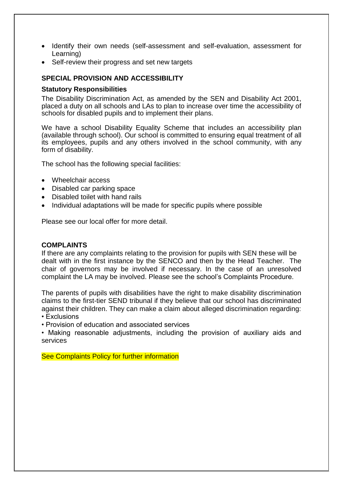- Identify their own needs (self-assessment and self-evaluation, assessment for Learning)
- Self-review their progress and set new targets

#### **SPECIAL PROVISION AND ACCESSIBILITY**

#### **Statutory Responsibilities**

The Disability Discrimination Act, as amended by the SEN and Disability Act 2001, placed a duty on all schools and LAs to plan to increase over time the accessibility of schools for disabled pupils and to implement their plans.

We have a school Disability Equality Scheme that includes an accessibility plan (available through school). Our school is committed to ensuring equal treatment of all its employees, pupils and any others involved in the school community, with any form of disability.

The school has the following special facilities:

- Wheelchair access
- Disabled car parking space
- Disabled toilet with hand rails
- Individual adaptations will be made for specific pupils where possible

Please see our local offer for more detail.

#### **COMPLAINTS**

If there are any complaints relating to the provision for pupils with SEN these will be dealt with in the first instance by the SENCO and then by the Head Teacher. The chair of governors may be involved if necessary. In the case of an unresolved complaint the LA may be involved. Please see the school's Complaints Procedure.

The parents of pupils with disabilities have the right to make disability discrimination claims to the first-tier SEND tribunal if they believe that our school has discriminated against their children. They can make a claim about alleged discrimination regarding:

• Exclusions

• Provision of education and associated services

• Making reasonable adjustments, including the provision of auxiliary aids and services

See Complaints Policy for further information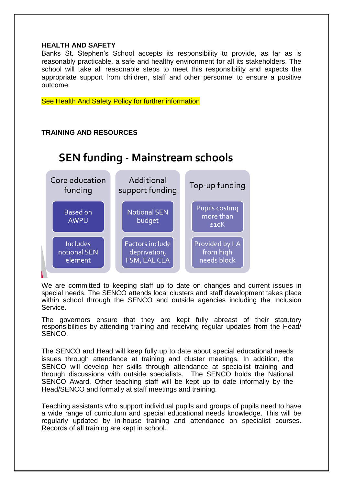### **HEALTH AND SAFETY**

Banks St. Stephen's School accepts its responsibility to provide, as far as is reasonably practicable, a safe and healthy environment for all its stakeholders. The school will take all reasonable steps to meet this responsibility and expects the appropriate support from children, staff and other personnel to ensure a positive outcome.

See Health And Safety Policy for further information

# **TRAINING AND RESOURCES**

# **SEN funding - Mainstream schools**



We are committed to keeping staff up to date on changes and current issues in special needs. The SENCO attends local clusters and staff development takes place within school through the SENCO and outside agencies including the Inclusion Service.

The governors ensure that they are kept fully abreast of their statutory responsibilities by attending training and receiving regular updates from the Head/ SENCO.

The SENCO and Head will keep fully up to date about special educational needs issues through attendance at training and cluster meetings. In addition, the SENCO will develop her skills through attendance at specialist training and through discussions with outside specialists. The SENCO holds the National SENCO Award. Other teaching staff will be kept up to date informally by the Head/SENCO and formally at staff meetings and training.

Teaching assistants who support individual pupils and groups of pupils need to have a wide range of curriculum and special educational needs knowledge. This will be regularly updated by in-house training and attendance on specialist courses. Records of all training are kept in school.